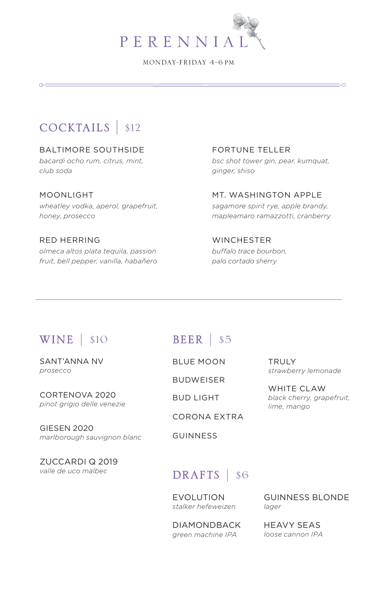

MONDAY-FRIDAY 4-6 pm

# COCKTAILS | \$12

 $0 =$ 

BALTIMORE SOUTHSIDE *bacardi ocho rum, citrus, mint, club soda*

MOONLIGHT *wheatley vodka, aperol, grapefruit, honey, prosecco*

RED HERRING *olmeca altos plata tequila, passion fruit, bell pepper, vanilla, habañero* FORTUNE TELLER *bsc shot tower gin, pear, kumquat, ginger, shiso*

 $\rightarrow$ 

MT. WASHINGTON APPLE *sagamore spirit rye, apple brandy, mapleamaro ramazzotti, cranberry*

**WINCHESTER** *buffalo trace bourbon, palo cortado sherry*

## WINE | \$10 BEER | \$5

SANT'ANNA NV *prosecco*

CORTENOVA 2020 *pinot grigio delle venezie* 

GIESEN 2020 *marlborough sauvignon blanc* 

ZUCCARDI Q 2019 *valle de uco malbec*

BLUE MOON

BUDWEISER

BUD LIGHT

CORONA EXTRA

GUINNESS

**TRULY** *strawberry lemonade*

WHITE CLAW *black cherry, grapefruit, lime, mango*

## DRAFTS | \$6

EVOLUTION *stalker hefeweizen*

DIAMONDBACK *green machine IPA* 

GUINNESS BLONDE *lager*

HEAVY SEAS *loose cannon IPA*